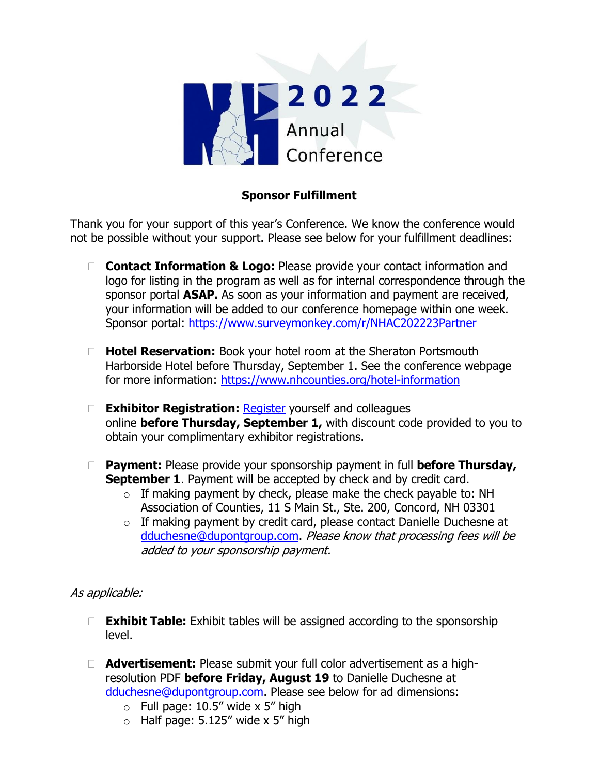

# **Sponsor Fulfillment**

Thank you for your support of this year's Conference. We know the conference would not be possible without your support. Please see below for your fulfillment deadlines:

- □ **Contact Information & Logo:** Please provide your contact information and logo for listing in the program as well as for internal correspondence through the sponsor portal **ASAP.** As soon as your information and payment are received, your information will be added to our conference homepage within one week. Sponsor portal:<https://www.surveymonkey.com/r/NHAC202223Partner>
- **Hotel Reservation:** Book your hotel room at the Sheraton Portsmouth Harborside Hotel before Thursday, September 1. See the conference webpage for more information:<https://www.nhcounties.org/hotel-information>
- **Exhibitor Registration:** [Register](https://www.nhcounties.org/registration) yourself and colleagues online **before Thursday, September 1,** with discount code provided to you to obtain your complimentary exhibitor registrations.
- **Payment:** Please provide your sponsorship payment in full **before Thursday, September 1.** Payment will be accepted by check and by credit card.
	- $\circ$  If making payment by check, please make the check payable to: NH Association of Counties, 11 S Main St., Ste. 200, Concord, NH 03301
	- $\circ$  If making payment by credit card, please contact Danielle Duchesne at [dduchesne@dupontgroup.com.](mailto:dduchesne@dupontgroup.com) Please know that processing fees will be added to your sponsorship payment.

# As applicable:

- □ **Exhibit Table:** Exhibit tables will be assigned according to the sponsorship level.
- **Advertisement:** Please submit your full color advertisement as a highresolution PDF **before Friday, August 19** to Danielle Duchesne at [dduchesne@dupontgroup.com.](mailto:dduchesne@dupontgroup.com) Please see below for ad dimensions:
	- $\circ$  Full page: 10.5" wide x 5" high
	- $\circ$  Half page: 5.125" wide x 5" high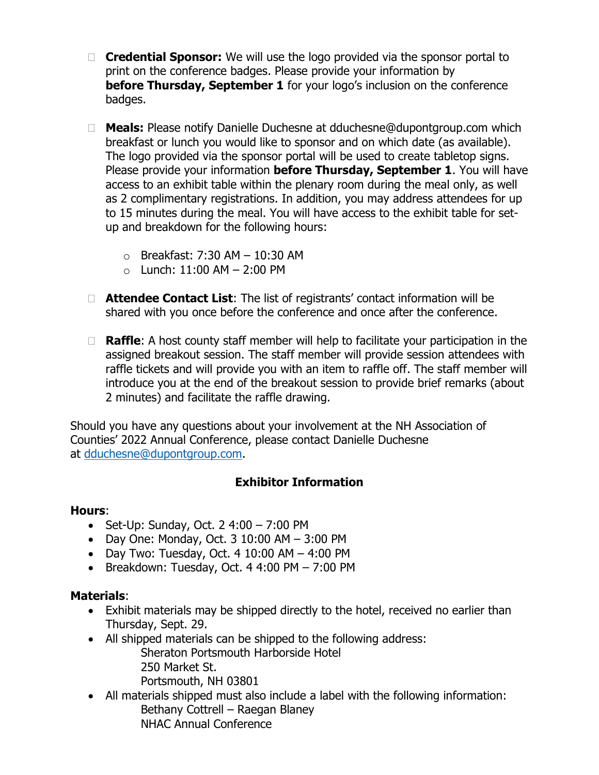- **Credential Sponsor:** We will use the logo provided via the sponsor portal to print on the conference badges. Please provide your information by **before Thursday, September 1** for your logo's inclusion on the conference badges.
- **Meals:** Please notify Danielle Duchesne at dduchesne@dupontgroup.com which breakfast or lunch you would like to sponsor and on which date (as available). The logo provided via the sponsor portal will be used to create tabletop signs. Please provide your information **before Thursday, September 1**. You will have access to an exhibit table within the plenary room during the meal only, as well as 2 complimentary registrations. In addition, you may address attendees for up to 15 minutes during the meal. You will have access to the exhibit table for setup and breakdown for the following hours:
	- $\circ$  Breakfast: 7:30 AM 10:30 AM
	- $\circ$  Lunch: 11:00 AM  $-$  2:00 PM
- **Attendee Contact List**: The list of registrants' contact information will be shared with you once before the conference and once after the conference.
- □ **Raffle**: A host county staff member will help to facilitate your participation in the assigned breakout session. The staff member will provide session attendees with raffle tickets and will provide you with an item to raffle off. The staff member will introduce you at the end of the breakout session to provide brief remarks (about 2 minutes) and facilitate the raffle drawing.

Should you have any questions about your involvement at the NH Association of Counties' 2022 Annual Conference, please contact Danielle Duchesne at [dduchesne@dupontgroup.com.](mailto:dduchesne@dupontgroup.com)

# **Exhibitor Information**

#### **Hours**:

- Set-Up: Sunday, Oct. 2 4:00 7:00 PM
- Day One: Monday, Oct.  $310:00$  AM  $-3:00$  PM
- Day Two: Tuesday, Oct.  $410:00$  AM  $-4:00$  PM
- Breakdown: Tuesday, Oct.  $44:00$  PM  $7:00$  PM

#### **Materials**:

- Exhibit materials may be shipped directly to the hotel, received no earlier than Thursday, Sept. 29.
- All shipped materials can be shipped to the following address:
	- Sheraton Portsmouth Harborside Hotel 250 Market St. Portsmouth, NH 03801
- All materials shipped must also include a label with the following information: Bethany Cottrell – Raegan Blaney NHAC Annual Conference